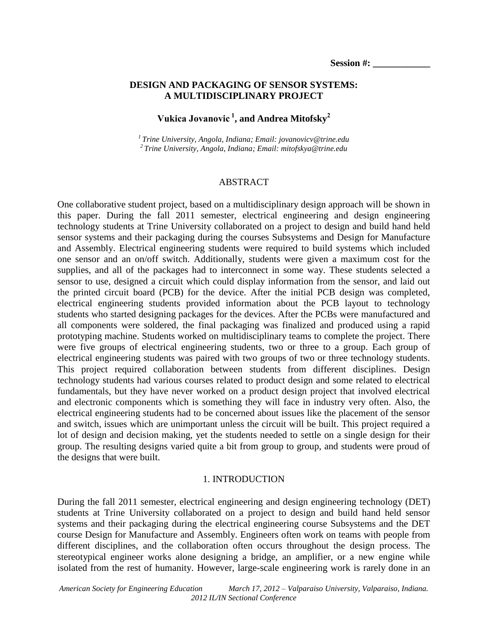### **DESIGN AND PACKAGING OF SENSOR SYSTEMS: A MULTIDISCIPLINARY PROJECT**

# **Vukica Jovanovic <sup>1</sup> , and Andrea Mitofsky<sup>2</sup>**

*<sup>1</sup>Trine University, Angola, Indiana; Email: jovanovicv@trine.edu <sup>2</sup>Trine University, Angola, Indiana; Email: mitofskya@trine.edu*

#### ABSTRACT

One collaborative student project, based on a multidisciplinary design approach will be shown in this paper. During the fall 2011 semester, electrical engineering and design engineering technology students at Trine University collaborated on a project to design and build hand held sensor systems and their packaging during the courses Subsystems and Design for Manufacture and Assembly. Electrical engineering students were required to build systems which included one sensor and an on/off switch. Additionally, students were given a maximum cost for the supplies, and all of the packages had to interconnect in some way. These students selected a sensor to use, designed a circuit which could display information from the sensor, and laid out the printed circuit board (PCB) for the device. After the initial PCB design was completed, electrical engineering students provided information about the PCB layout to technology students who started designing packages for the devices. After the PCBs were manufactured and all components were soldered, the final packaging was finalized and produced using a rapid prototyping machine. Students worked on multidisciplinary teams to complete the project. There were five groups of electrical engineering students, two or three to a group. Each group of electrical engineering students was paired with two groups of two or three technology students. This project required collaboration between students from different disciplines. Design technology students had various courses related to product design and some related to electrical fundamentals, but they have never worked on a product design project that involved electrical and electronic components which is something they will face in industry very often. Also, the electrical engineering students had to be concerned about issues like the placement of the sensor and switch, issues which are unimportant unless the circuit will be built. This project required a lot of design and decision making, yet the students needed to settle on a single design for their group. The resulting designs varied quite a bit from group to group, and students were proud of the designs that were built.

#### 1. INTRODUCTION

During the fall 2011 semester, electrical engineering and design engineering technology (DET) students at Trine University collaborated on a project to design and build hand held sensor systems and their packaging during the electrical engineering course Subsystems and the DET course Design for Manufacture and Assembly. Engineers often work on teams with people from different disciplines, and the collaboration often occurs throughout the design process. The stereotypical engineer works alone designing a bridge, an amplifier, or a new engine while isolated from the rest of humanity. However, large-scale engineering work is rarely done in an

*American Society for Engineering Education March 17, 2012 – Valparaiso University, Valparaiso, Indiana. 2012 IL/IN Sectional Conference*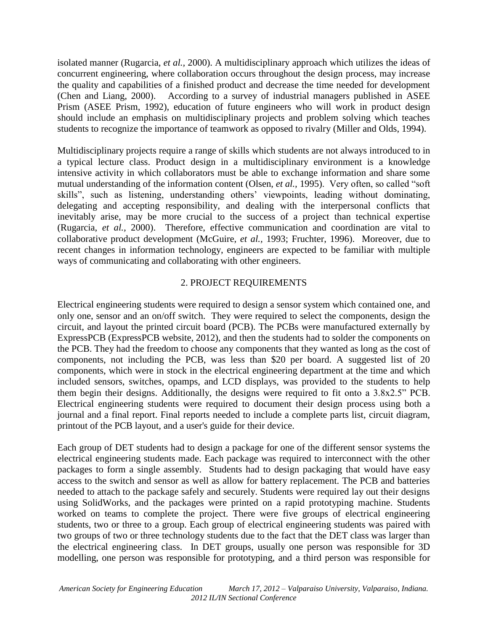isolated manner (Rugarcia, *et al.,* 2000). A multidisciplinary approach which utilizes the ideas of concurrent engineering, where collaboration occurs throughout the design process, may increase the quality and capabilities of a finished product and decrease the time needed for development (Chen and Liang, 2000). According to a survey of industrial managers published in ASEE Prism (ASEE Prism, 1992), education of future engineers who will work in product design should include an emphasis on multidisciplinary projects and problem solving which teaches students to recognize the importance of teamwork as opposed to rivalry (Miller and Olds, 1994).

Multidisciplinary projects require a range of skills which students are not always introduced to in a typical lecture class. Product design in a multidisciplinary environment is a knowledge intensive activity in which collaborators must be able to exchange information and share some mutual understanding of the information content (Olsen, *et al.,* 1995). Very often, so called "soft skills", such as listening, understanding others' viewpoints, leading without dominating, delegating and accepting responsibility, and dealing with the interpersonal conflicts that inevitably arise, may be more crucial to the success of a project than technical expertise (Rugarcia, *et al.,* 2000). Therefore, effective communication and coordination are vital to collaborative product development (McGuire, *et al.,* 1993; Fruchter, 1996). Moreover, due to recent changes in information technology, engineers are expected to be familiar with multiple ways of communicating and collaborating with other engineers.

# 2. PROJECT REQUIREMENTS

Electrical engineering students were required to design a sensor system which contained one, and only one, sensor and an on/off switch. They were required to select the components, design the circuit, and layout the printed circuit board (PCB). The PCBs were manufactured externally by ExpressPCB (ExpressPCB website, 2012), and then the students had to solder the components on the PCB. They had the freedom to choose any components that they wanted as long as the cost of components, not including the PCB, was less than \$20 per board. A suggested list of 20 components, which were in stock in the electrical engineering department at the time and which included sensors, switches, opamps, and LCD displays, was provided to the students to help them begin their designs. Additionally, the designs were required to fit onto a 3.8x2.5" PCB. Electrical engineering students were required to document their design process using both a journal and a final report. Final reports needed to include a complete parts list, circuit diagram, printout of the PCB layout, and a user's guide for their device.

Each group of DET students had to design a package for one of the different sensor systems the electrical engineering students made. Each package was required to interconnect with the other packages to form a single assembly. Students had to design packaging that would have easy access to the switch and sensor as well as allow for battery replacement. The PCB and batteries needed to attach to the package safely and securely. Students were required lay out their designs using SolidWorks, and the packages were printed on a rapid prototyping machine. Students worked on teams to complete the project. There were five groups of electrical engineering students, two or three to a group. Each group of electrical engineering students was paired with two groups of two or three technology students due to the fact that the DET class was larger than the electrical engineering class. In DET groups, usually one person was responsible for 3D modelling, one person was responsible for prototyping, and a third person was responsible for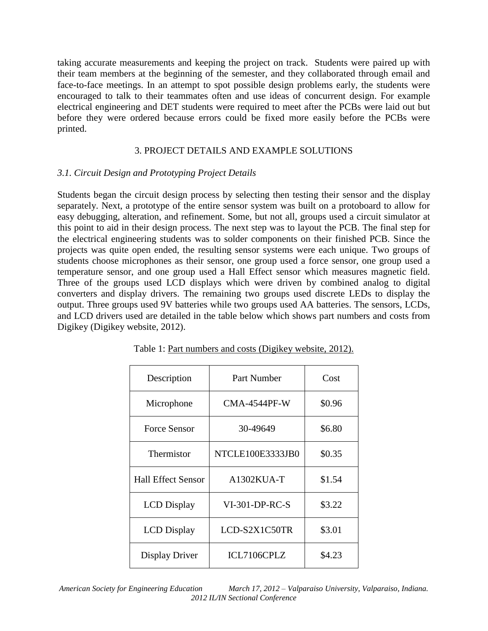taking accurate measurements and keeping the project on track. Students were paired up with their team members at the beginning of the semester, and they collaborated through email and face-to-face meetings. In an attempt to spot possible design problems early, the students were encouraged to talk to their teammates often and use ideas of concurrent design. For example electrical engineering and DET students were required to meet after the PCBs were laid out but before they were ordered because errors could be fixed more easily before the PCBs were printed.

## 3. PROJECT DETAILS AND EXAMPLE SOLUTIONS

# *3.1. Circuit Design and Prototyping Project Details*

Students began the circuit design process by selecting then testing their sensor and the display separately. Next, a prototype of the entire sensor system was built on a protoboard to allow for easy debugging, alteration, and refinement. Some, but not all, groups used a circuit simulator at this point to aid in their design process. The next step was to layout the PCB. The final step for the electrical engineering students was to solder components on their finished PCB. Since the projects was quite open ended, the resulting sensor systems were each unique. Two groups of students choose microphones as their sensor, one group used a force sensor, one group used a temperature sensor, and one group used a Hall Effect sensor which measures magnetic field. Three of the groups used LCD displays which were driven by combined analog to digital converters and display drivers. The remaining two groups used discrete LEDs to display the output. Three groups used 9V batteries while two groups used AA batteries. The sensors, LCDs, and LCD drivers used are detailed in the table below which shows part numbers and costs from Digikey (Digikey website, 2012).

| Description               | Part Number      | Cost   |
|---------------------------|------------------|--------|
| Microphone                | CMA-4544PF-W     | \$0.96 |
| <b>Force Sensor</b>       | 30-49649         | \$6.80 |
| Thermistor                | NTCLE100E3333JB0 | \$0.35 |
| <b>Hall Effect Sensor</b> | A1302KUA-T       | \$1.54 |
| <b>LCD</b> Display        | $VI-301-DP-RC-S$ | \$3.22 |
| <b>LCD</b> Display        | LCD-S2X1C50TR    | \$3.01 |
| Display Driver            | ICL7106CPLZ      | \$4.23 |

Table 1: Part numbers and costs (Digikey website, 2012).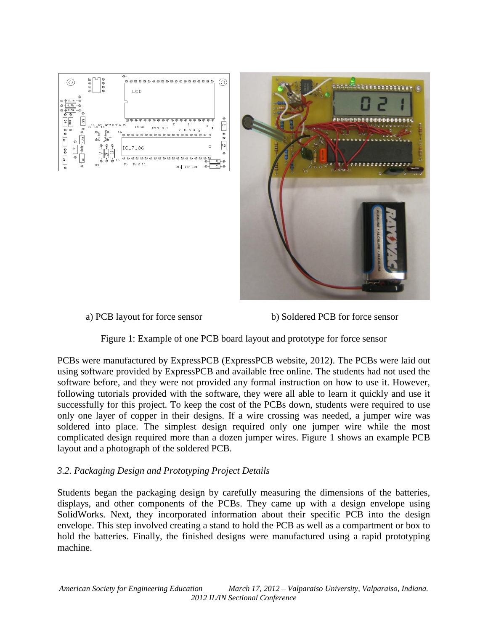



a) PCB layout for force sensor b) Soldered PCB for force sensor

Figure 1: Example of one PCB board layout and prototype for force sensor

PCBs were manufactured by ExpressPCB (ExpressPCB website, 2012). The PCBs were laid out using software provided by ExpressPCB and available free online. The students had not used the software before, and they were not provided any formal instruction on how to use it. However, following tutorials provided with the software, they were all able to learn it quickly and use it successfully for this project. To keep the cost of the PCBs down, students were required to use only one layer of copper in their designs. If a wire crossing was needed, a jumper wire was soldered into place. The simplest design required only one jumper wire while the most complicated design required more than a dozen jumper wires. Figure 1 shows an example PCB layout and a photograph of the soldered PCB.

## *3.2. Packaging Design and Prototyping Project Details*

Students began the packaging design by carefully measuring the dimensions of the batteries, displays, and other components of the PCBs. They came up with a design envelope using SolidWorks. Next, they incorporated information about their specific PCB into the design envelope. This step involved creating a stand to hold the PCB as well as a compartment or box to hold the batteries. Finally, the finished designs were manufactured using a rapid prototyping machine.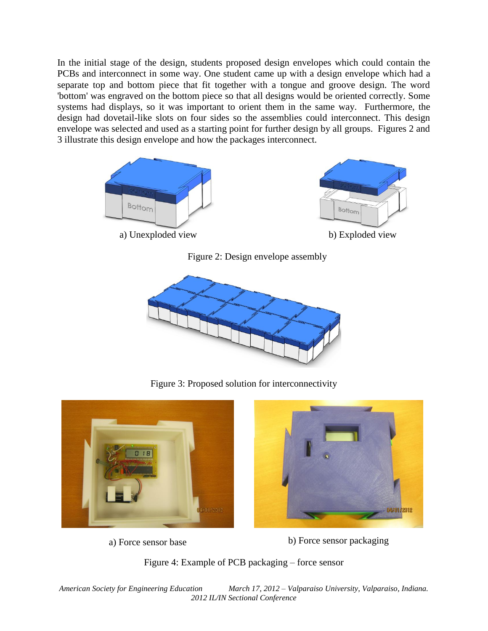In the initial stage of the design, students proposed design envelopes which could contain the PCBs and interconnect in some way. One student came up with a design envelope which had a separate top and bottom piece that fit together with a tongue and groove design. The word 'bottom' was engraved on the bottom piece so that all designs would be oriented correctly. Some systems had displays, so it was important to orient them in the same way. Furthermore, the design had dovetail-like slots on four sides so the assemblies could interconnect. This design envelope was selected and used as a starting point for further design by all groups. Figures 2 and 3 illustrate this design envelope and how the packages interconnect.



Figure 2: Design envelope assembly



Figure 3: Proposed solution for interconnectivity





a) Force sensor base b) Force sensor packaging

Figure 4: Example of PCB packaging – force sensor

*American Society for Engineering Education March 17, 2012 – Valparaiso University, Valparaiso, Indiana. 2012 IL/IN Sectional Conference*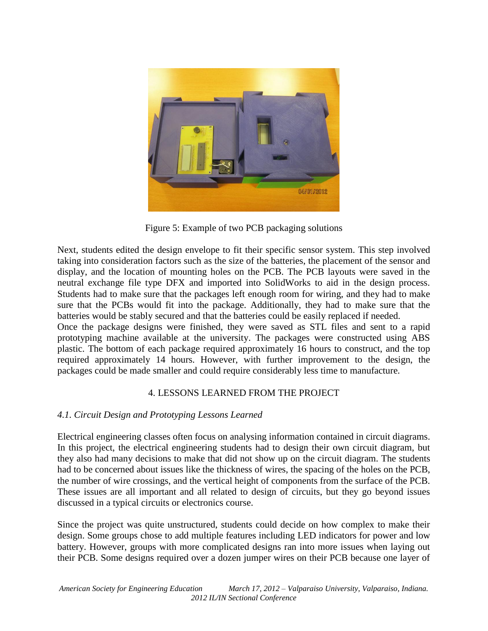

Figure 5: Example of two PCB packaging solutions

Next, students edited the design envelope to fit their specific sensor system. This step involved taking into consideration factors such as the size of the batteries, the placement of the sensor and display, and the location of mounting holes on the PCB. The PCB layouts were saved in the neutral exchange file type DFX and imported into SolidWorks to aid in the design process. Students had to make sure that the packages left enough room for wiring, and they had to make sure that the PCBs would fit into the package. Additionally, they had to make sure that the batteries would be stably secured and that the batteries could be easily replaced if needed. Once the package designs were finished, they were saved as STL files and sent to a rapid prototyping machine available at the university. The packages were constructed using ABS

plastic. The bottom of each package required approximately 16 hours to construct, and the top required approximately 14 hours. However, with further improvement to the design, the packages could be made smaller and could require considerably less time to manufacture.

## 4. LESSONS LEARNED FROM THE PROJECT

## *4.1. Circuit Design and Prototyping Lessons Learned*

Electrical engineering classes often focus on analysing information contained in circuit diagrams. In this project, the electrical engineering students had to design their own circuit diagram, but they also had many decisions to make that did not show up on the circuit diagram. The students had to be concerned about issues like the thickness of wires, the spacing of the holes on the PCB, the number of wire crossings, and the vertical height of components from the surface of the PCB. These issues are all important and all related to design of circuits, but they go beyond issues discussed in a typical circuits or electronics course.

Since the project was quite unstructured, students could decide on how complex to make their design. Some groups chose to add multiple features including LED indicators for power and low battery. However, groups with more complicated designs ran into more issues when laying out their PCB. Some designs required over a dozen jumper wires on their PCB because one layer of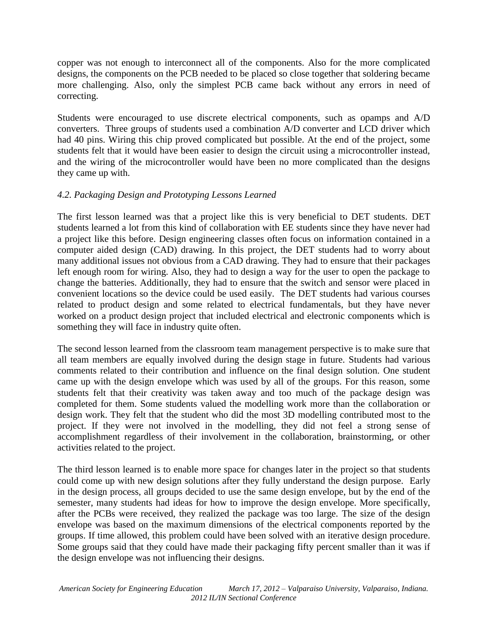copper was not enough to interconnect all of the components. Also for the more complicated designs, the components on the PCB needed to be placed so close together that soldering became more challenging. Also, only the simplest PCB came back without any errors in need of correcting.

Students were encouraged to use discrete electrical components, such as opamps and A/D converters. Three groups of students used a combination A/D converter and LCD driver which had 40 pins. Wiring this chip proved complicated but possible. At the end of the project, some students felt that it would have been easier to design the circuit using a microcontroller instead, and the wiring of the microcontroller would have been no more complicated than the designs they came up with.

# *4.2. Packaging Design and Prototyping Lessons Learned*

The first lesson learned was that a project like this is very beneficial to DET students. DET students learned a lot from this kind of collaboration with EE students since they have never had a project like this before. Design engineering classes often focus on information contained in a computer aided design (CAD) drawing. In this project, the DET students had to worry about many additional issues not obvious from a CAD drawing. They had to ensure that their packages left enough room for wiring. Also, they had to design a way for the user to open the package to change the batteries. Additionally, they had to ensure that the switch and sensor were placed in convenient locations so the device could be used easily. The DET students had various courses related to product design and some related to electrical fundamentals, but they have never worked on a product design project that included electrical and electronic components which is something they will face in industry quite often.

The second lesson learned from the classroom team management perspective is to make sure that all team members are equally involved during the design stage in future. Students had various comments related to their contribution and influence on the final design solution. One student came up with the design envelope which was used by all of the groups. For this reason, some students felt that their creativity was taken away and too much of the package design was completed for them. Some students valued the modelling work more than the collaboration or design work. They felt that the student who did the most 3D modelling contributed most to the project. If they were not involved in the modelling, they did not feel a strong sense of accomplishment regardless of their involvement in the collaboration, brainstorming, or other activities related to the project.

The third lesson learned is to enable more space for changes later in the project so that students could come up with new design solutions after they fully understand the design purpose. Early in the design process, all groups decided to use the same design envelope, but by the end of the semester, many students had ideas for how to improve the design envelope. More specifically, after the PCBs were received, they realized the package was too large. The size of the design envelope was based on the maximum dimensions of the electrical components reported by the groups. If time allowed, this problem could have been solved with an iterative design procedure. Some groups said that they could have made their packaging fifty percent smaller than it was if the design envelope was not influencing their designs.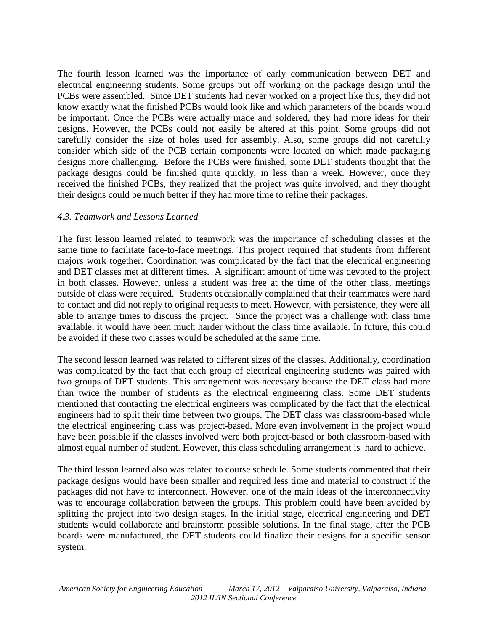The fourth lesson learned was the importance of early communication between DET and electrical engineering students. Some groups put off working on the package design until the PCBs were assembled. Since DET students had never worked on a project like this, they did not know exactly what the finished PCBs would look like and which parameters of the boards would be important. Once the PCBs were actually made and soldered, they had more ideas for their designs. However, the PCBs could not easily be altered at this point. Some groups did not carefully consider the size of holes used for assembly. Also, some groups did not carefully consider which side of the PCB certain components were located on which made packaging designs more challenging. Before the PCBs were finished, some DET students thought that the package designs could be finished quite quickly, in less than a week. However, once they received the finished PCBs, they realized that the project was quite involved, and they thought their designs could be much better if they had more time to refine their packages.

### *4.3. Teamwork and Lessons Learned*

The first lesson learned related to teamwork was the importance of scheduling classes at the same time to facilitate face-to-face meetings. This project required that students from different majors work together. Coordination was complicated by the fact that the electrical engineering and DET classes met at different times. A significant amount of time was devoted to the project in both classes. However, unless a student was free at the time of the other class, meetings outside of class were required. Students occasionally complained that their teammates were hard to contact and did not reply to original requests to meet. However, with persistence, they were all able to arrange times to discuss the project. Since the project was a challenge with class time available, it would have been much harder without the class time available. In future, this could be avoided if these two classes would be scheduled at the same time.

The second lesson learned was related to different sizes of the classes. Additionally, coordination was complicated by the fact that each group of electrical engineering students was paired with two groups of DET students. This arrangement was necessary because the DET class had more than twice the number of students as the electrical engineering class. Some DET students mentioned that contacting the electrical engineers was complicated by the fact that the electrical engineers had to split their time between two groups. The DET class was classroom-based while the electrical engineering class was project-based. More even involvement in the project would have been possible if the classes involved were both project-based or both classroom-based with almost equal number of student. However, this class scheduling arrangement is hard to achieve.

The third lesson learned also was related to course schedule. Some students commented that their package designs would have been smaller and required less time and material to construct if the packages did not have to interconnect. However, one of the main ideas of the interconnectivity was to encourage collaboration between the groups. This problem could have been avoided by splitting the project into two design stages. In the initial stage, electrical engineering and DET students would collaborate and brainstorm possible solutions. In the final stage, after the PCB boards were manufactured, the DET students could finalize their designs for a specific sensor system.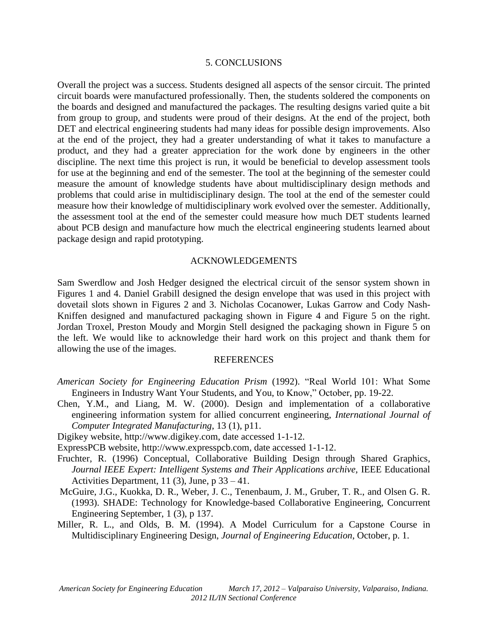#### 5. CONCLUSIONS

Overall the project was a success. Students designed all aspects of the sensor circuit. The printed circuit boards were manufactured professionally. Then, the students soldered the components on the boards and designed and manufactured the packages. The resulting designs varied quite a bit from group to group, and students were proud of their designs. At the end of the project, both DET and electrical engineering students had many ideas for possible design improvements. Also at the end of the project, they had a greater understanding of what it takes to manufacture a product, and they had a greater appreciation for the work done by engineers in the other discipline. The next time this project is run, it would be beneficial to develop assessment tools for use at the beginning and end of the semester. The tool at the beginning of the semester could measure the amount of knowledge students have about multidisciplinary design methods and problems that could arise in multidisciplinary design. The tool at the end of the semester could measure how their knowledge of multidisciplinary work evolved over the semester. Additionally, the assessment tool at the end of the semester could measure how much DET students learned about PCB design and manufacture how much the electrical engineering students learned about package design and rapid prototyping.

#### ACKNOWLEDGEMENTS

Sam Swerdlow and Josh Hedger designed the electrical circuit of the sensor system shown in Figures 1 and 4. Daniel Grabill designed the design envelope that was used in this project with dovetail slots shown in Figures 2 and 3. Nicholas Cocanower, Lukas Garrow and Cody Nash-Kniffen designed and manufactured packaging shown in Figure 4 and Figure 5 on the right. Jordan Troxel, Preston Moudy and Morgin Stell designed the packaging shown in Figure 5 on the left. We would like to acknowledge their hard work on this project and thank them for allowing the use of the images.

#### REFERENCES

- *American Society for Engineering Education Prism* (1992). "Real World 101: What Some Engineers in Industry Want Your Students, and You, to Know," October, pp. 19-22.
- Chen, Y.M., and Liang, M. W. (2000). Design and implementation of a collaborative engineering information system for allied concurrent engineering, *International Journal of Computer Integrated Manufacturing*, 13 (1), p11.
- Digikey website, http://www.digikey.com, date accessed 1-1-12.
- ExpressPCB website, http://www.expresspcb.com, date accessed 1-1-12.
- Fruchter, R. (1996) Conceptual, Collaborative Building Design through Shared Graphics*, Journal IEEE Expert: Intelligent Systems and Their Applications archive,* IEEE Educational Activities Department, 11 (3), June, p 33 – 41.
- McGuire, J.G., Kuokka, D. R., Weber, J. C., Tenenbaum, J. M., Gruber, T. R., and Olsen G. R. (1993). SHADE: Technology for Knowledge-based Collaborative Engineering, Concurrent Engineering September, 1 (3), p 137.
- Miller, R. L., and Olds, B. M. (1994). A Model Curriculum for a Capstone Course in Multidisciplinary Engineering Design, *Journal of Engineering Education*, October, p. 1.